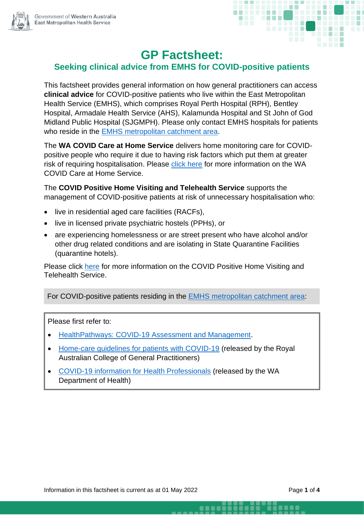



## **GP Factsheet:**

## **Seeking clinical advice from EMHS for COVID-positive patients**

This factsheet provides general information on how general practitioners can access **clinical advice** for COVID-positive patients who live within the East Metropolitan Health Service (EMHS), which comprises Royal Perth Hospital (RPH), Bentley Hospital, Armadale Health Service (AHS), Kalamunda Hospital and St John of God Midland Public Hospital (SJGMPH). Please only contact EMHS hospitals for patients who reside in the [EMHS metropolitan catchment area.](https://rph.health.wa.gov.au/~/media/Files/Hospitals/RPH/For-health-professionals/General-Practitioners/emhs-catchment-map.pdf)

The **WA COVID Care at Home Service** delivers home monitoring care for COVIDpositive people who require it due to having risk factors which put them at greater risk of requiring hospitalisation. Please [click here](https://www.healthywa.wa.gov.au/Articles/A_E/Coronavirus/Managing-COVID19-at-home-and-in-the-community/WA-COVID-Care-at-Home) for more information on the WA COVID Care at Home Service.

The **COVID Positive Home Visiting and Telehealth Service** supports the management of COVID-positive patients at risk of unnecessary hospitalisation who:

- live in residential aged care facilities (RACFs).
- live in licensed private psychiatric hostels (PPHs), or
- are experiencing homelessness or are street present who have alcohol and/or other drug related conditions and are isolating in State Quarantine Facilities (quarantine hotels).

Please click [here](https://news.wapha.org.au/providing-covid-positive-people-with-continuity-of-care/) for more information on the COVID Positive Home Visiting and Telehealth Service.

For COVID-positive patients residing in the EMHS metropolitan [catchment area:](https://rph.health.wa.gov.au/~/media/Files/Hospitals/RPH/For-health-professionals/General-Practitioners/emhs-catchment-map.pdf)

Please first refer to:

- [HealthPathways: COVID-19 Assessment and Management.](https://wa.communityhealthpathways.org/709101.htm)
- Home-care [guidelines for patients with COVID-19](https://www.racgp.org.au/FSDEDEV/media/documents/Clinical%20Resources/Guidelines/COVID-19-Home-Care-Guidelines.pdf) (released by the Royal Australian College of General Practitioners)
- [COVID-19 information for Health Professionals](https://ww2.health.wa.gov.au/Articles/A_E/Coronavirus/COVID19-information-for-health-professionals) (released by the WA Department of Health)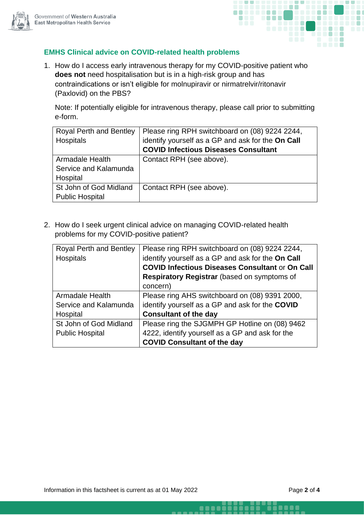



## **EMHS Clinical advice on COVID-related health problems**

1. How do I access early intravenous therapy for my COVID-positive patient who **does not** need hospitalisation but is in a high-risk group and has contraindications or isn't eligible for molnupiravir or nirmatrelvir/ritonavir (Paxlovid) on the PBS?

Note: If potentially eligible for intravenous therapy, please call prior to submitting e-form.

| <b>Royal Perth and Bentley</b> | Please ring RPH switchboard on (08) 9224 2244,    |
|--------------------------------|---------------------------------------------------|
| Hospitals                      | identify yourself as a GP and ask for the On Call |
|                                | <b>COVID Infectious Diseases Consultant</b>       |
| <b>Armadale Health</b>         | Contact RPH (see above).                          |
| Service and Kalamunda          |                                                   |
| Hospital                       |                                                   |
| St John of God Midland         | Contact RPH (see above).                          |
| <b>Public Hospital</b>         |                                                   |

2. How do I seek urgent clinical advice on managing COVID-related health problems for my COVID-positive patient?

| <b>Royal Perth and Bentley</b> | Please ring RPH switchboard on (08) 9224 2244,         |
|--------------------------------|--------------------------------------------------------|
| Hospitals                      | identify yourself as a GP and ask for the On Call      |
|                                | <b>COVID Infectious Diseases Consultant or On Call</b> |
|                                | <b>Respiratory Registrar</b> (based on symptoms of     |
|                                | concern)                                               |
| Armadale Health                | Please ring AHS switchboard on (08) 9391 2000,         |
| Service and Kalamunda          | identify yourself as a GP and ask for the COVID        |
| Hospital                       | <b>Consultant of the day</b>                           |
| St John of God Midland         | Please ring the SJGMPH GP Hotline on (08) 9462         |
| <b>Public Hospital</b>         | 4222, identify yourself as a GP and ask for the        |
|                                | <b>COVID Consultant of the day</b>                     |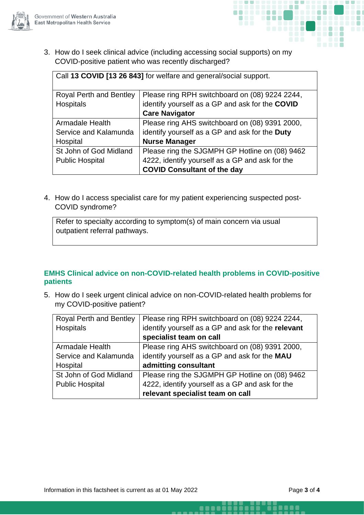



 $\blacksquare$ 

3. How do I seek clinical advice (including accessing social supports) on my COVID-positive patient who was recently discharged?

Call **13 COVID [13 26 843]** for welfare and general/social support.

| <b>Royal Perth and Bentley</b> | Please ring RPH switchboard on (08) 9224 2244,  |
|--------------------------------|-------------------------------------------------|
| Hospitals                      | identify yourself as a GP and ask for the COVID |
|                                | <b>Care Navigator</b>                           |
| Armadale Health                | Please ring AHS switchboard on (08) 9391 2000,  |
| Service and Kalamunda          | identify yourself as a GP and ask for the Duty  |
| Hospital                       | <b>Nurse Manager</b>                            |
| St John of God Midland         | Please ring the SJGMPH GP Hotline on (08) 9462  |
| <b>Public Hospital</b>         | 4222, identify yourself as a GP and ask for the |
|                                | <b>COVID Consultant of the day</b>              |

4. How do I access specialist care for my patient experiencing suspected post-COVID syndrome?

Refer to specialty according to symptom(s) of main concern via usual outpatient referral pathways.

## **EMHS Clinical advice on non-COVID-related health problems in COVID-positive patients**

5. How do I seek urgent clinical advice on non-COVID-related health problems for my COVID-positive patient?

| <b>Royal Perth and Bentley</b> | Please ring RPH switchboard on (08) 9224 2244,     |
|--------------------------------|----------------------------------------------------|
| Hospitals                      | identify yourself as a GP and ask for the relevant |
|                                | specialist team on call                            |
| <b>Armadale Health</b>         | Please ring AHS switchboard on (08) 9391 2000,     |
| Service and Kalamunda          | identify yourself as a GP and ask for the MAU      |
| Hospital                       | admitting consultant                               |
| St John of God Midland         | Please ring the SJGMPH GP Hotline on (08) 9462     |
| <b>Public Hospital</b>         | 4222, identify yourself as a GP and ask for the    |
|                                | relevant specialist team on call                   |